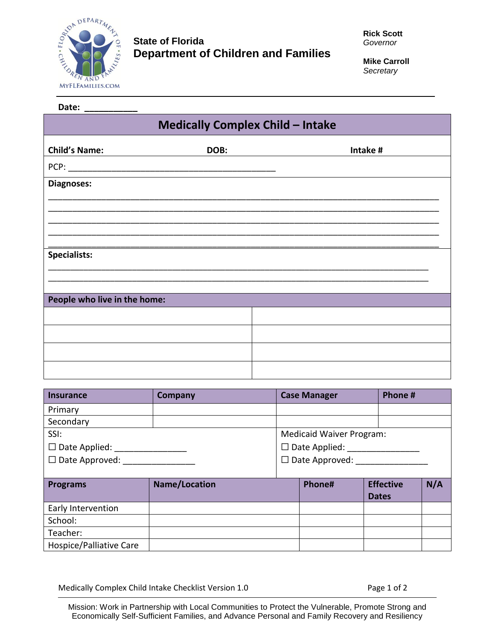

## **State of Florida Department of Children and Families**

**Mike Carroll** *Secretary*

| Date: ___________                       |      |          |  |  |
|-----------------------------------------|------|----------|--|--|
| <b>Medically Complex Child - Intake</b> |      |          |  |  |
| <b>Child's Name:</b>                    | DOB: | Intake # |  |  |
|                                         |      |          |  |  |
| Diagnoses:                              |      |          |  |  |
|                                         |      |          |  |  |
|                                         |      |          |  |  |
|                                         |      |          |  |  |
| <b>Specialists:</b>                     |      |          |  |  |
|                                         |      |          |  |  |
| People who live in the home:            |      |          |  |  |
|                                         |      |          |  |  |
|                                         |      |          |  |  |
|                                         |      |          |  |  |
|                                         |      |          |  |  |

| <b>Insurance</b>            | <b>Company</b>       | <b>Case Manager</b>             | Phone #          |     |
|-----------------------------|----------------------|---------------------------------|------------------|-----|
| Primary                     |                      |                                 |                  |     |
| Secondary                   |                      |                                 |                  |     |
| SSI:                        |                      | <b>Medicaid Waiver Program:</b> |                  |     |
| $\Box$ Date Applied: $\Box$ |                      | $\Box$ Date Applied: $\Box$     |                  |     |
| $\Box$ Date Approved:       |                      | $\Box$ Date Approved: $\Box$    |                  |     |
|                             |                      |                                 |                  |     |
| <b>Programs</b>             | <b>Name/Location</b> | Phone#                          | <b>Effective</b> | N/A |
|                             |                      |                                 | <b>Dates</b>     |     |
| Early Intervention          |                      |                                 |                  |     |
| School:                     |                      |                                 |                  |     |
| Teacher:                    |                      |                                 |                  |     |
| Hospice/Palliative Care     |                      |                                 |                  |     |

Medically Complex Child Intake Checklist Version 1.0 Page 1 of 2